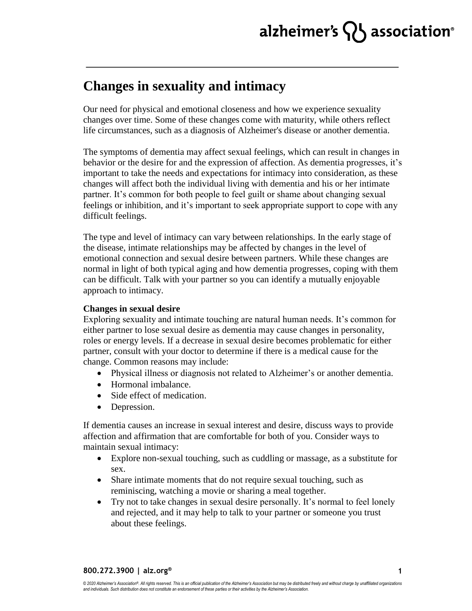# alzheimer's  $\{ \}$  association<sup>®</sup>

### **Changes in sexuality and intimacy**

Our need for physical and emotional closeness and how we experience sexuality changes over time. Some of these changes come with maturity, while others reflect life circumstances, such as a diagnosis of Alzheimer's disease or another dementia.

The symptoms of dementia may affect sexual feelings, which can result in changes in behavior or the desire for and the expression of affection. As dementia progresses, it's important to take the needs and expectations for intimacy into consideration, as these changes will affect both the individual living with dementia and his or her intimate partner. It's common for both people to feel guilt or shame about changing sexual feelings or inhibition, and it's important to seek appropriate support to cope with any difficult feelings.

The type and level of intimacy can vary between relationships. In the early stage of the disease, intimate relationships may be affected by changes in the level of emotional connection and sexual desire between partners. While these changes are normal in light of both typical aging and how dementia progresses, coping with them can be difficult. Talk with your partner so you can identify a mutually enjoyable approach to intimacy.

### **Changes in sexual desire**

Exploring sexuality and intimate touching are natural human needs. It's common for either partner to lose sexual desire as dementia may cause changes in personality, roles or energy levels. If a decrease in sexual desire becomes problematic for either partner, consult with your doctor to determine if there is a medical cause for the change. Common reasons may include:

- Physical illness or diagnosis not related to Alzheimer's or another dementia.
- Hormonal imbalance.
- Side effect of medication.
- Depression.

If dementia causes an increase in sexual interest and desire, discuss ways to provide affection and affirmation that are comfortable for both of you. Consider ways to maintain sexual intimacy:

- Explore non-sexual touching, such as cuddling or massage, as a substitute for sex.
- Share intimate moments that do not require sexual touching, such as reminiscing, watching a movie or sharing a meal together.
- Try not to take changes in sexual desire personally. It's normal to feel lonely and rejected, and it may help to talk to your partner or someone you trust about these feelings.

**800.272.3900 | alz.org®**